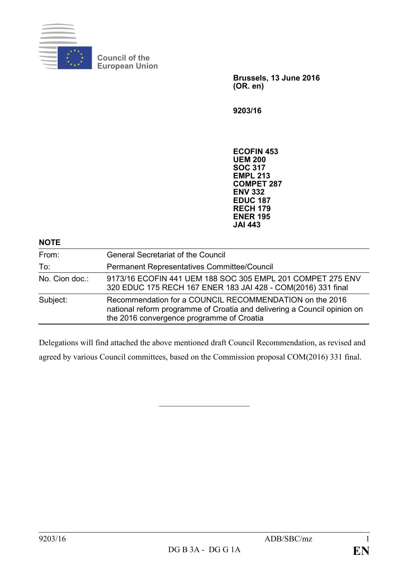

**Council of the European Union**

> **Brussels, 13 June 2016 (OR. en)**

**9203/16**

**ECOFIN 453 UEM 200 SOC 317 EMPL 213 COMPET 287 ENV 332 EDUC 187 RECH 179 ENER 195 JAI 443**

| <b>NOTE</b>    |                                                                                                                                                                                  |
|----------------|----------------------------------------------------------------------------------------------------------------------------------------------------------------------------------|
| From:          | <b>General Secretariat of the Council</b>                                                                                                                                        |
| To:            | Permanent Representatives Committee/Council                                                                                                                                      |
| No. Cion doc.: | 9173/16 ECOFIN 441 UEM 188 SOC 305 EMPL 201 COMPET 275 ENV<br>320 EDUC 175 RECH 167 ENER 183 JAI 428 - COM(2016) 331 final                                                       |
| Subject:       | Recommendation for a COUNCIL RECOMMENDATION on the 2016<br>national reform programme of Croatia and delivering a Council opinion on<br>the 2016 convergence programme of Croatia |

Delegations will find attached the above mentioned draft Council Recommendation, as revised and agreed by various Council committees, based on the Commission proposal COM(2016) 331 final.

 $\overline{\phantom{a}}$  , where  $\overline{\phantom{a}}$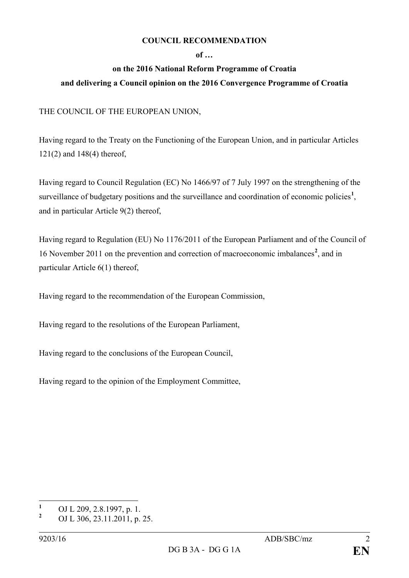### **COUNCIL RECOMMENDATION**

### **of …**

# **on the 2016 National Reform Programme of Croatia and delivering a Council opinion on the 2016 Convergence Programme of Croatia**

## THE COUNCIL OF THE EUROPEAN UNION,

Having regard to the Treaty on the Functioning of the European Union, and in particular Articles 121(2) and 148(4) thereof,

Having regard to Council Regulation (EC) No 1466/97 of 7 July 1997 on the strengthening of the surveillance of budgetary positions and the surveillance and coordination of economic policies<sup>[1](#page-1-0)</sup>, and in particular Article 9(2) thereof,

Having regard to Regulation (EU) No 1176/2011 of the European Parliament and of the Council of 16 November 2011 on the prevention and correction of macroeconomic imbalances**[2](#page-1-1)** , and in particular Article 6(1) thereof,

Having regard to the recommendation of the European Commission,

Having regard to the resolutions of the European Parliament,

Having regard to the conclusions of the European Council,

Having regard to the opinion of the Employment Committee,

<span id="page-1-0"></span>**<sup>1</sup>** OJ L 209, 2.8.1997, p. 1.

<span id="page-1-1"></span>**<sup>2</sup>** OJ L 306, 23.11.2011, p. 25.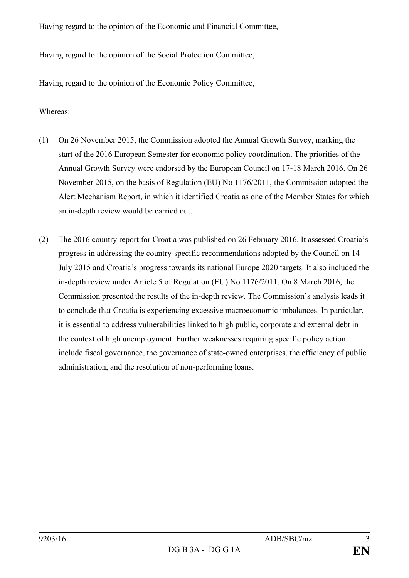Having regard to the opinion of the Economic and Financial Committee,

Having regard to the opinion of the Social Protection Committee,

Having regard to the opinion of the Economic Policy Committee,

### Whereas:

- (1) On 26 November 2015, the Commission adopted the Annual Growth Survey, marking the start of the 2016 European Semester for economic policy coordination. The priorities of the Annual Growth Survey were endorsed by the European Council on 17-18 March 2016. On 26 November 2015, on the basis of Regulation (EU) No 1176/2011, the Commission adopted the Alert Mechanism Report, in which it identified Croatia as one of the Member States for which an in-depth review would be carried out.
- (2) The 2016 country report for Croatia was published on 26 February 2016. It assessed Croatia's progress in addressing the country-specific recommendations adopted by the Council on 14 July 2015 and Croatia's progress towards its national Europe 2020 targets. It also included the in-depth review under Article 5 of Regulation (EU) No 1176/2011. On 8 March 2016, the Commission presented the results of the in-depth review. The Commission's analysis leads it to conclude that Croatia is experiencing excessive macroeconomic imbalances. In particular, it is essential to address vulnerabilities linked to high public, corporate and external debt in the context of high unemployment. Further weaknesses requiring specific policy action include fiscal governance, the governance of state-owned enterprises, the efficiency of public administration, and the resolution of non-performing loans.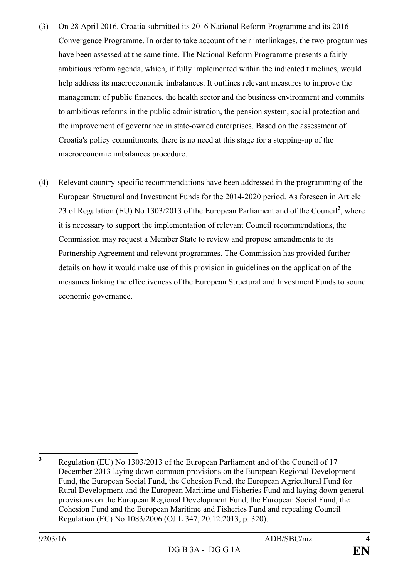- (3) On 28 April 2016, Croatia submitted its 2016 National Reform Programme and its 2016 Convergence Programme. In order to take account of their interlinkages, the two programmes have been assessed at the same time. The National Reform Programme presents a fairly ambitious reform agenda, which, if fully implemented within the indicated timelines, would help address its macroeconomic imbalances. It outlines relevant measures to improve the management of public finances, the health sector and the business environment and commits to ambitious reforms in the public administration, the pension system, social protection and the improvement of governance in state-owned enterprises. Based on the assessment of Croatia's policy commitments, there is no need at this stage for a stepping-up of the macroeconomic imbalances procedure.
- (4) Relevant country-specific recommendations have been addressed in the programming of the European Structural and Investment Funds for the 2014-2020 period. As foreseen in Article 23 of Regulation (EU) No 1303/2013 of the European Parliament and of the Council**[3](#page-3-0)** , where it is necessary to support the implementation of relevant Council recommendations, the Commission may request a Member State to review and propose amendments to its Partnership Agreement and relevant programmes. The Commission has provided further details on how it would make use of this provision in guidelines on the application of the measures linking the effectiveness of the European Structural and Investment Funds to sound economic governance.

<span id="page-3-0"></span>**<sup>3</sup>** Regulation (EU) No 1303/2013 of the European Parliament and of the Council of 17 December 2013 laying down common provisions on the European Regional Development Fund, the European Social Fund, the Cohesion Fund, the European Agricultural Fund for Rural Development and the European Maritime and Fisheries Fund and laying down general provisions on the European Regional Development Fund, the European Social Fund, the Cohesion Fund and the European Maritime and Fisheries Fund and repealing Council Regulation (EC) No 1083/2006 (OJ L 347, 20.12.2013, p. 320).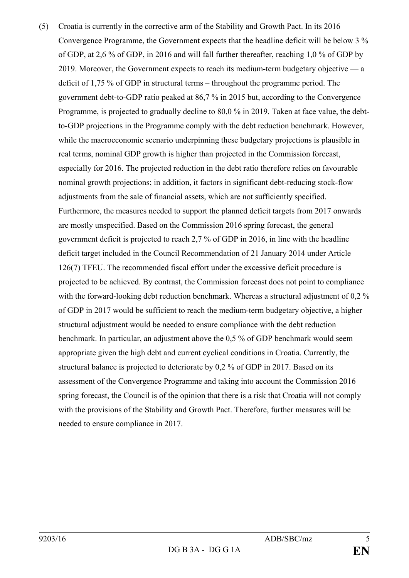(5) Croatia is currently in the corrective arm of the Stability and Growth Pact. In its 2016 Convergence Programme, the Government expects that the headline deficit will be below 3 % of GDP, at 2,6 % of GDP, in 2016 and will fall further thereafter, reaching 1,0 % of GDP by 2019. Moreover, the Government expects to reach its medium-term budgetary objective — a deficit of 1,75 % of GDP in structural terms – throughout the programme period. The government debt-to-GDP ratio peaked at 86,7 % in 2015 but, according to the Convergence Programme, is projected to gradually decline to 80,0 % in 2019. Taken at face value, the debtto-GDP projections in the Programme comply with the debt reduction benchmark. However, while the macroeconomic scenario underpinning these budgetary projections is plausible in real terms, nominal GDP growth is higher than projected in the Commission forecast, especially for 2016. The projected reduction in the debt ratio therefore relies on favourable nominal growth projections; in addition, it factors in significant debt-reducing stock-flow adjustments from the sale of financial assets, which are not sufficiently specified. Furthermore, the measures needed to support the planned deficit targets from 2017 onwards are mostly unspecified. Based on the Commission 2016 spring forecast, the general government deficit is projected to reach 2,7 % of GDP in 2016, in line with the headline deficit target included in the Council Recommendation of 21 January 2014 under Article 126(7) TFEU. The recommended fiscal effort under the excessive deficit procedure is projected to be achieved. By contrast, the Commission forecast does not point to compliance with the forward-looking debt reduction benchmark. Whereas a structural adjustment of 0,2 % of GDP in 2017 would be sufficient to reach the medium-term budgetary objective, a higher structural adjustment would be needed to ensure compliance with the debt reduction benchmark. In particular, an adjustment above the 0,5 % of GDP benchmark would seem appropriate given the high debt and current cyclical conditions in Croatia. Currently, the structural balance is projected to deteriorate by 0,2 % of GDP in 2017. Based on its assessment of the Convergence Programme and taking into account the Commission 2016 spring forecast, the Council is of the opinion that there is a risk that Croatia will not comply with the provisions of the Stability and Growth Pact. Therefore, further measures will be needed to ensure compliance in 2017.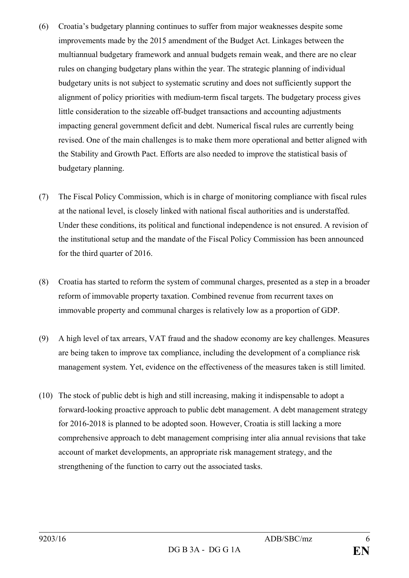- (6) Croatia's budgetary planning continues to suffer from major weaknesses despite some improvements made by the 2015 amendment of the Budget Act. Linkages between the multiannual budgetary framework and annual budgets remain weak, and there are no clear rules on changing budgetary plans within the year. The strategic planning of individual budgetary units is not subject to systematic scrutiny and does not sufficiently support the alignment of policy priorities with medium-term fiscal targets. The budgetary process gives little consideration to the sizeable off-budget transactions and accounting adjustments impacting general government deficit and debt. Numerical fiscal rules are currently being revised. One of the main challenges is to make them more operational and better aligned with the Stability and Growth Pact. Efforts are also needed to improve the statistical basis of budgetary planning.
- (7) The Fiscal Policy Commission, which is in charge of monitoring compliance with fiscal rules at the national level, is closely linked with national fiscal authorities and is understaffed. Under these conditions, its political and functional independence is not ensured. A revision of the institutional setup and the mandate of the Fiscal Policy Commission has been announced for the third quarter of 2016.
- (8) Croatia has started to reform the system of communal charges, presented as a step in a broader reform of immovable property taxation. Combined revenue from recurrent taxes on immovable property and communal charges is relatively low as a proportion of GDP.
- (9) A high level of tax arrears, VAT fraud and the shadow economy are key challenges. Measures are being taken to improve tax compliance, including the development of a compliance risk management system. Yet, evidence on the effectiveness of the measures taken is still limited.
- (10) The stock of public debt is high and still increasing, making it indispensable to adopt a forward-looking proactive approach to public debt management. A debt management strategy for 2016-2018 is planned to be adopted soon. However, Croatia is still lacking a more comprehensive approach to debt management comprising inter alia annual revisions that take account of market developments, an appropriate risk management strategy, and the strengthening of the function to carry out the associated tasks.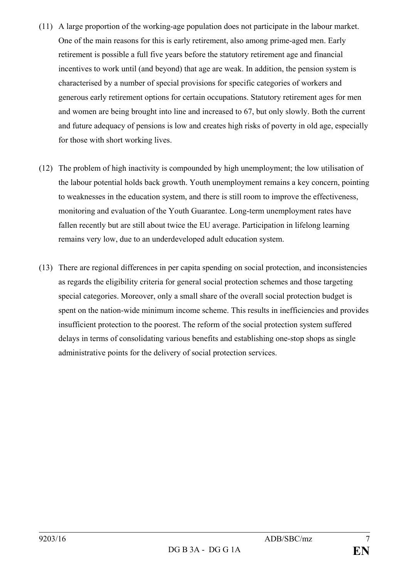- (11) A large proportion of the working-age population does not participate in the labour market. One of the main reasons for this is early retirement, also among prime-aged men. Early retirement is possible a full five years before the statutory retirement age and financial incentives to work until (and beyond) that age are weak. In addition, the pension system is characterised by a number of special provisions for specific categories of workers and generous early retirement options for certain occupations. Statutory retirement ages for men and women are being brought into line and increased to 67, but only slowly. Both the current and future adequacy of pensions is low and creates high risks of poverty in old age, especially for those with short working lives.
- (12) The problem of high inactivity is compounded by high unemployment; the low utilisation of the labour potential holds back growth. Youth unemployment remains a key concern, pointing to weaknesses in the education system, and there is still room to improve the effectiveness, monitoring and evaluation of the Youth Guarantee. Long-term unemployment rates have fallen recently but are still about twice the EU average. Participation in lifelong learning remains very low, due to an underdeveloped adult education system.
- (13) There are regional differences in per capita spending on social protection, and inconsistencies as regards the eligibility criteria for general social protection schemes and those targeting special categories. Moreover, only a small share of the overall social protection budget is spent on the nation-wide minimum income scheme. This results in inefficiencies and provides insufficient protection to the poorest. The reform of the social protection system suffered delays in terms of consolidating various benefits and establishing one-stop shops as single administrative points for the delivery of social protection services.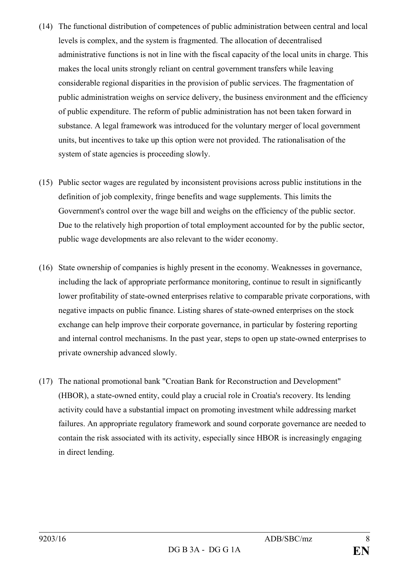- (14) The functional distribution of competences of public administration between central and local levels is complex, and the system is fragmented. The allocation of decentralised administrative functions is not in line with the fiscal capacity of the local units in charge. This makes the local units strongly reliant on central government transfers while leaving considerable regional disparities in the provision of public services. The fragmentation of public administration weighs on service delivery, the business environment and the efficiency of public expenditure. The reform of public administration has not been taken forward in substance. A legal framework was introduced for the voluntary merger of local government units, but incentives to take up this option were not provided. The rationalisation of the system of state agencies is proceeding slowly.
- (15) Public sector wages are regulated by inconsistent provisions across public institutions in the definition of job complexity, fringe benefits and wage supplements. This limits the Government's control over the wage bill and weighs on the efficiency of the public sector. Due to the relatively high proportion of total employment accounted for by the public sector, public wage developments are also relevant to the wider economy.
- (16) State ownership of companies is highly present in the economy. Weaknesses in governance, including the lack of appropriate performance monitoring, continue to result in significantly lower profitability of state-owned enterprises relative to comparable private corporations, with negative impacts on public finance. Listing shares of state-owned enterprises on the stock exchange can help improve their corporate governance, in particular by fostering reporting and internal control mechanisms. In the past year, steps to open up state-owned enterprises to private ownership advanced slowly.
- (17) The national promotional bank "Croatian Bank for Reconstruction and Development" (HBOR), a state-owned entity, could play a crucial role in Croatia's recovery. Its lending activity could have a substantial impact on promoting investment while addressing market failures. An appropriate regulatory framework and sound corporate governance are needed to contain the risk associated with its activity, especially since HBOR is increasingly engaging in direct lending.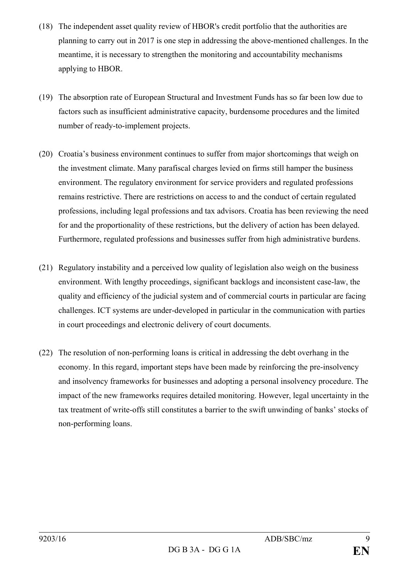- (18) The independent asset quality review of HBOR's credit portfolio that the authorities are planning to carry out in 2017 is one step in addressing the above-mentioned challenges. In the meantime, it is necessary to strengthen the monitoring and accountability mechanisms applying to HBOR.
- (19) The absorption rate of European Structural and Investment Funds has so far been low due to factors such as insufficient administrative capacity, burdensome procedures and the limited number of ready-to-implement projects.
- (20) Croatia's business environment continues to suffer from major shortcomings that weigh on the investment climate. Many parafiscal charges levied on firms still hamper the business environment. The regulatory environment for service providers and regulated professions remains restrictive. There are restrictions on access to and the conduct of certain regulated professions, including legal professions and tax advisors. Croatia has been reviewing the need for and the proportionality of these restrictions, but the delivery of action has been delayed. Furthermore, regulated professions and businesses suffer from high administrative burdens.
- (21) Regulatory instability and a perceived low quality of legislation also weigh on the business environment. With lengthy proceedings, significant backlogs and inconsistent case-law, the quality and efficiency of the judicial system and of commercial courts in particular are facing challenges. ICT systems are under-developed in particular in the communication with parties in court proceedings and electronic delivery of court documents.
- (22) The resolution of non-performing loans is critical in addressing the debt overhang in the economy. In this regard, important steps have been made by reinforcing the pre-insolvency and insolvency frameworks for businesses and adopting a personal insolvency procedure. The impact of the new frameworks requires detailed monitoring. However, legal uncertainty in the tax treatment of write-offs still constitutes a barrier to the swift unwinding of banks' stocks of non-performing loans.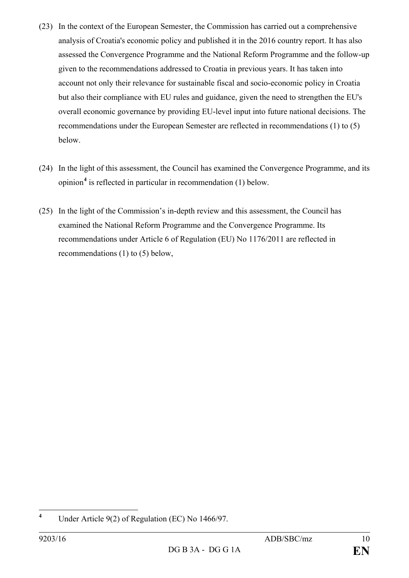- (23) In the context of the European Semester, the Commission has carried out a comprehensive analysis of Croatia's economic policy and published it in the 2016 country report. It has also assessed the Convergence Programme and the National Reform Programme and the follow-up given to the recommendations addressed to Croatia in previous years. It has taken into account not only their relevance for sustainable fiscal and socio-economic policy in Croatia but also their compliance with EU rules and guidance, given the need to strengthen the EU's overall economic governance by providing EU-level input into future national decisions. The recommendations under the European Semester are reflected in recommendations (1) to (5) below.
- (24) In the light of this assessment, the Council has examined the Convergence Programme, and its opinion**[4](#page-9-0)** is reflected in particular in recommendation (1) below.
- (25) In the light of the Commission's in-depth review and this assessment, the Council has examined the National Reform Programme and the Convergence Programme. Its recommendations under Article 6 of Regulation (EU) No 1176/2011 are reflected in recommendations (1) to (5) below,

<span id="page-9-0"></span>**<sup>4</sup>** Under Article 9(2) of Regulation (EC) No 1466/97.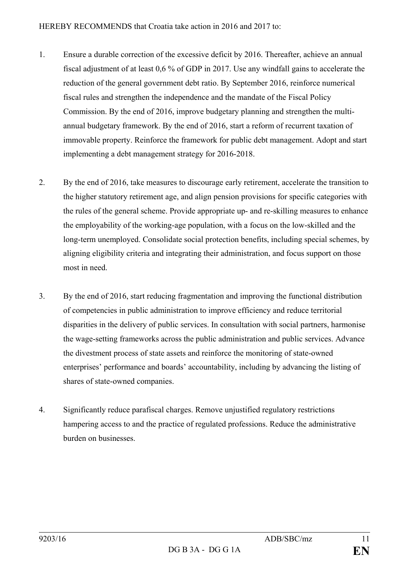- 1. Ensure a durable correction of the excessive deficit by 2016. Thereafter, achieve an annual fiscal adjustment of at least 0,6 % of GDP in 2017. Use any windfall gains to accelerate the reduction of the general government debt ratio. By September 2016, reinforce numerical fiscal rules and strengthen the independence and the mandate of the Fiscal Policy Commission. By the end of 2016, improve budgetary planning and strengthen the multiannual budgetary framework. By the end of 2016, start a reform of recurrent taxation of immovable property. Reinforce the framework for public debt management. Adopt and start implementing a debt management strategy for 2016-2018.
- 2. By the end of 2016, take measures to discourage early retirement, accelerate the transition to the higher statutory retirement age, and align pension provisions for specific categories with the rules of the general scheme. Provide appropriate up- and re-skilling measures to enhance the employability of the working-age population, with a focus on the low-skilled and the long-term unemployed. Consolidate social protection benefits, including special schemes, by aligning eligibility criteria and integrating their administration, and focus support on those most in need.
- 3. By the end of 2016, start reducing fragmentation and improving the functional distribution of competencies in public administration to improve efficiency and reduce territorial disparities in the delivery of public services. In consultation with social partners, harmonise the wage-setting frameworks across the public administration and public services. Advance the divestment process of state assets and reinforce the monitoring of state-owned enterprises' performance and boards' accountability, including by advancing the listing of shares of state-owned companies.
- 4. Significantly reduce parafiscal charges. Remove unjustified regulatory restrictions hampering access to and the practice of regulated professions. Reduce the administrative burden on businesses.